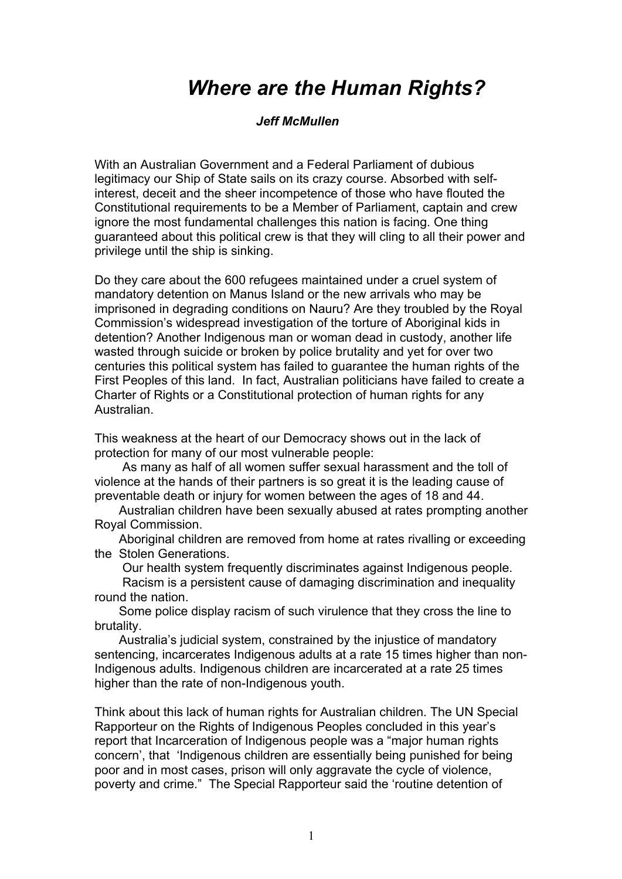## *Where are the Human Rights?*

## *Jeff McMullen*

With an Australian Government and a Federal Parliament of dubious legitimacy our Ship of State sails on its crazy course. Absorbed with selfinterest, deceit and the sheer incompetence of those who have flouted the Constitutional requirements to be a Member of Parliament, captain and crew ignore the most fundamental challenges this nation is facing. One thing guaranteed about this political crew is that they will cling to all their power and privilege until the ship is sinking.

Do they care about the 600 refugees maintained under a cruel system of mandatory detention on Manus Island or the new arrivals who may be imprisoned in degrading conditions on Nauru? Are they troubled by the Royal Commission's widespread investigation of the torture of Aboriginal kids in detention? Another Indigenous man or woman dead in custody, another life wasted through suicide or broken by police brutality and yet for over two centuries this political system has failed to guarantee the human rights of the First Peoples of this land. In fact, Australian politicians have failed to create a Charter of Rights or a Constitutional protection of human rights for any Australian.

This weakness at the heart of our Democracy shows out in the lack of protection for many of our most vulnerable people:

 As many as half of all women suffer sexual harassment and the toll of violence at the hands of their partners is so great it is the leading cause of preventable death or injury for women between the ages of 18 and 44.

 Australian children have been sexually abused at rates prompting another Royal Commission.

 Aboriginal children are removed from home at rates rivalling or exceeding the Stolen Generations.

Our health system frequently discriminates against Indigenous people.

 Racism is a persistent cause of damaging discrimination and inequality round the nation.

 Some police display racism of such virulence that they cross the line to brutality.

 Australia's judicial system, constrained by the injustice of mandatory sentencing, incarcerates Indigenous adults at a rate 15 times higher than non-Indigenous adults. Indigenous children are incarcerated at a rate 25 times higher than the rate of non-Indigenous youth.

Think about this lack of human rights for Australian children. The UN Special Rapporteur on the Rights of Indigenous Peoples concluded in this year's report that Incarceration of Indigenous people was a "major human rights concern', that 'Indigenous children are essentially being punished for being poor and in most cases, prison will only aggravate the cycle of violence, poverty and crime." The Special Rapporteur said the 'routine detention of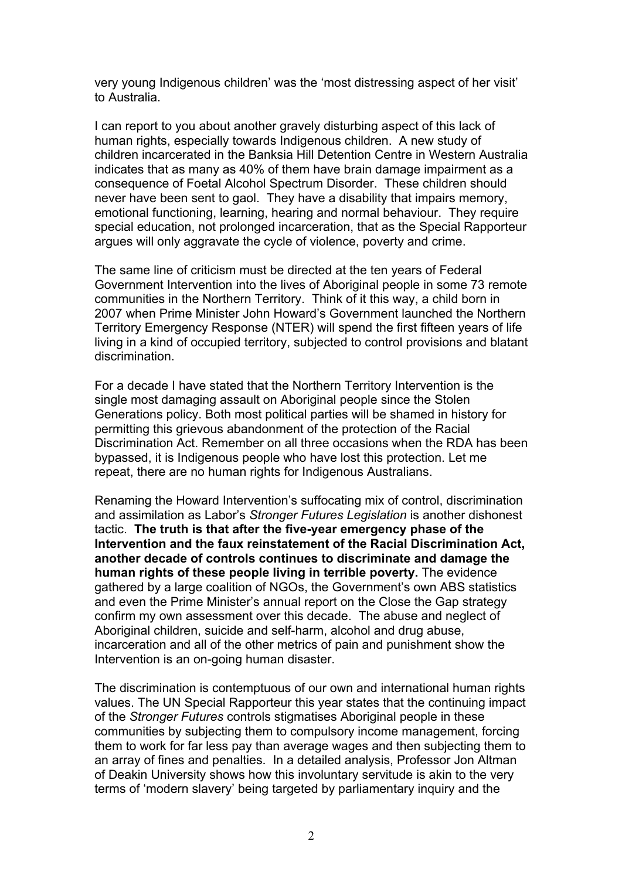very young Indigenous children' was the 'most distressing aspect of her visit' to Australia.

I can report to you about another gravely disturbing aspect of this lack of human rights, especially towards Indigenous children. A new study of children incarcerated in the Banksia Hill Detention Centre in Western Australia indicates that as many as 40% of them have brain damage impairment as a consequence of Foetal Alcohol Spectrum Disorder. These children should never have been sent to gaol. They have a disability that impairs memory, emotional functioning, learning, hearing and normal behaviour. They require special education, not prolonged incarceration, that as the Special Rapporteur argues will only aggravate the cycle of violence, poverty and crime.

The same line of criticism must be directed at the ten years of Federal Government Intervention into the lives of Aboriginal people in some 73 remote communities in the Northern Territory. Think of it this way, a child born in 2007 when Prime Minister John Howard's Government launched the Northern Territory Emergency Response (NTER) will spend the first fifteen years of life living in a kind of occupied territory, subjected to control provisions and blatant discrimination.

For a decade I have stated that the Northern Territory Intervention is the single most damaging assault on Aboriginal people since the Stolen Generations policy. Both most political parties will be shamed in history for permitting this grievous abandonment of the protection of the Racial Discrimination Act. Remember on all three occasions when the RDA has been bypassed, it is Indigenous people who have lost this protection. Let me repeat, there are no human rights for Indigenous Australians.

Renaming the Howard Intervention's suffocating mix of control, discrimination and assimilation as Labor's *Stronger Futures Legislation* is another dishonest tactic. **The truth is that after the five-year emergency phase of the Intervention and the faux reinstatement of the Racial Discrimination Act, another decade of controls continues to discriminate and damage the human rights of these people living in terrible poverty.** The evidence gathered by a large coalition of NGOs, the Government's own ABS statistics and even the Prime Minister's annual report on the Close the Gap strategy confirm my own assessment over this decade. The abuse and neglect of Aboriginal children, suicide and self-harm, alcohol and drug abuse, incarceration and all of the other metrics of pain and punishment show the Intervention is an on-going human disaster.

The discrimination is contemptuous of our own and international human rights values. The UN Special Rapporteur this year states that the continuing impact of the *Stronger Futures* controls stigmatises Aboriginal people in these communities by subjecting them to compulsory income management, forcing them to work for far less pay than average wages and then subjecting them to an array of fines and penalties. In a detailed analysis, Professor Jon Altman of Deakin University shows how this involuntary servitude is akin to the very terms of 'modern slavery' being targeted by parliamentary inquiry and the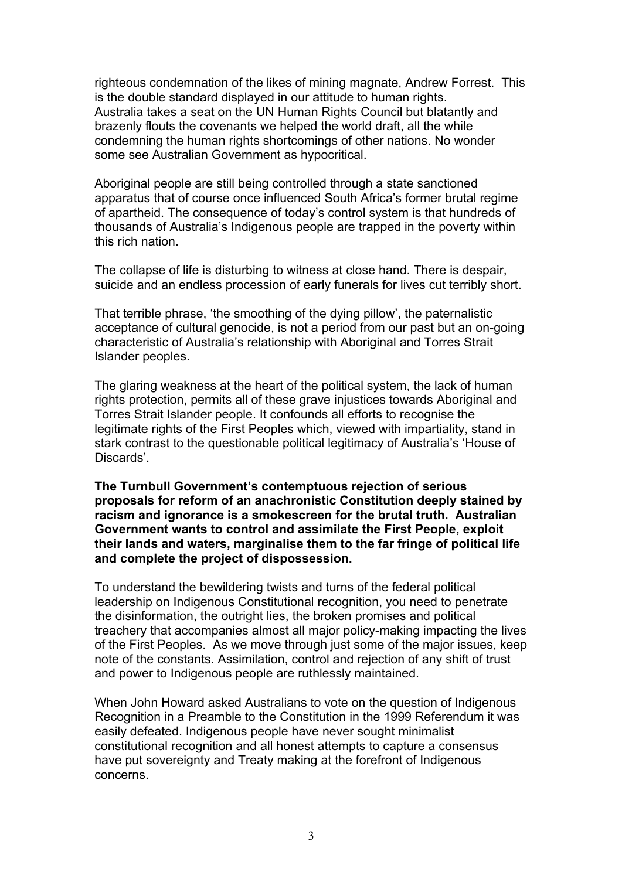righteous condemnation of the likes of mining magnate, Andrew Forrest. This is the double standard displayed in our attitude to human rights. Australia takes a seat on the UN Human Rights Council but blatantly and brazenly flouts the covenants we helped the world draft, all the while condemning the human rights shortcomings of other nations. No wonder some see Australian Government as hypocritical.

Aboriginal people are still being controlled through a state sanctioned apparatus that of course once influenced South Africa's former brutal regime of apartheid. The consequence of today's control system is that hundreds of thousands of Australia's Indigenous people are trapped in the poverty within this rich nation.

The collapse of life is disturbing to witness at close hand. There is despair, suicide and an endless procession of early funerals for lives cut terribly short.

That terrible phrase, 'the smoothing of the dying pillow', the paternalistic acceptance of cultural genocide, is not a period from our past but an on-going characteristic of Australia's relationship with Aboriginal and Torres Strait Islander peoples.

The glaring weakness at the heart of the political system, the lack of human rights protection, permits all of these grave injustices towards Aboriginal and Torres Strait Islander people. It confounds all efforts to recognise the legitimate rights of the First Peoples which, viewed with impartiality, stand in stark contrast to the questionable political legitimacy of Australia's 'House of Discards'.

**The Turnbull Government's contemptuous rejection of serious proposals for reform of an anachronistic Constitution deeply stained by racism and ignorance is a smokescreen for the brutal truth. Australian Government wants to control and assimilate the First People, exploit their lands and waters, marginalise them to the far fringe of political life and complete the project of dispossession.** 

To understand the bewildering twists and turns of the federal political leadership on Indigenous Constitutional recognition, you need to penetrate the disinformation, the outright lies, the broken promises and political treachery that accompanies almost all major policy-making impacting the lives of the First Peoples. As we move through just some of the major issues, keep note of the constants. Assimilation, control and rejection of any shift of trust and power to Indigenous people are ruthlessly maintained.

When John Howard asked Australians to vote on the question of Indigenous Recognition in a Preamble to the Constitution in the 1999 Referendum it was easily defeated. Indigenous people have never sought minimalist constitutional recognition and all honest attempts to capture a consensus have put sovereignty and Treaty making at the forefront of Indigenous concerns.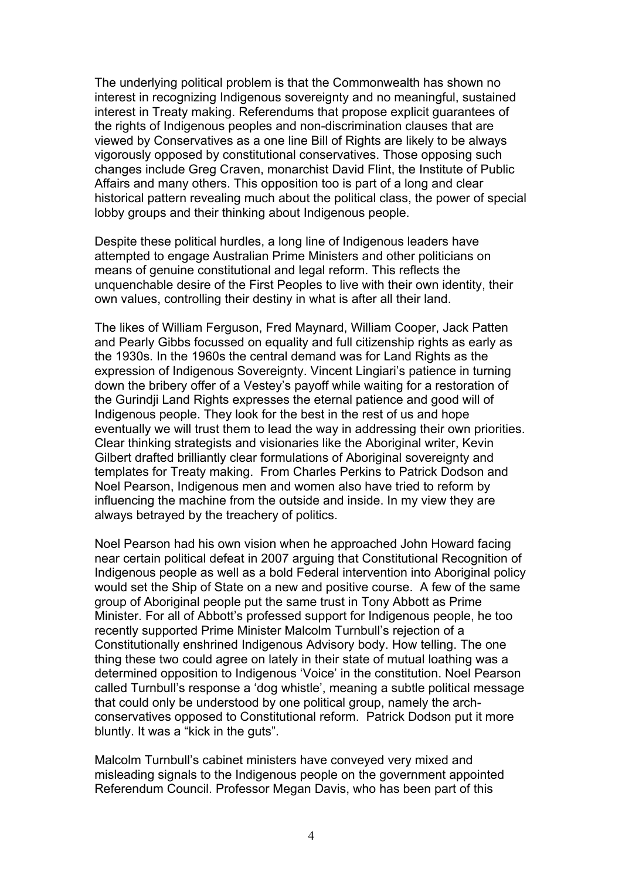The underlying political problem is that the Commonwealth has shown no interest in recognizing Indigenous sovereignty and no meaningful, sustained interest in Treaty making. Referendums that propose explicit guarantees of the rights of Indigenous peoples and non-discrimination clauses that are viewed by Conservatives as a one line Bill of Rights are likely to be always vigorously opposed by constitutional conservatives. Those opposing such changes include Greg Craven, monarchist David Flint, the Institute of Public Affairs and many others. This opposition too is part of a long and clear historical pattern revealing much about the political class, the power of special lobby groups and their thinking about Indigenous people.

Despite these political hurdles, a long line of Indigenous leaders have attempted to engage Australian Prime Ministers and other politicians on means of genuine constitutional and legal reform. This reflects the unquenchable desire of the First Peoples to live with their own identity, their own values, controlling their destiny in what is after all their land.

The likes of William Ferguson, Fred Maynard, William Cooper, Jack Patten and Pearly Gibbs focussed on equality and full citizenship rights as early as the 1930s. In the 1960s the central demand was for Land Rights as the expression of Indigenous Sovereignty. Vincent Lingiari's patience in turning down the bribery offer of a Vestey's payoff while waiting for a restoration of the Gurindji Land Rights expresses the eternal patience and good will of Indigenous people. They look for the best in the rest of us and hope eventually we will trust them to lead the way in addressing their own priorities. Clear thinking strategists and visionaries like the Aboriginal writer, Kevin Gilbert drafted brilliantly clear formulations of Aboriginal sovereignty and templates for Treaty making. From Charles Perkins to Patrick Dodson and Noel Pearson, Indigenous men and women also have tried to reform by influencing the machine from the outside and inside. In my view they are always betrayed by the treachery of politics.

Noel Pearson had his own vision when he approached John Howard facing near certain political defeat in 2007 arguing that Constitutional Recognition of Indigenous people as well as a bold Federal intervention into Aboriginal policy would set the Ship of State on a new and positive course. A few of the same group of Aboriginal people put the same trust in Tony Abbott as Prime Minister. For all of Abbott's professed support for Indigenous people, he too recently supported Prime Minister Malcolm Turnbull's rejection of a Constitutionally enshrined Indigenous Advisory body. How telling. The one thing these two could agree on lately in their state of mutual loathing was a determined opposition to Indigenous 'Voice' in the constitution. Noel Pearson called Turnbull's response a 'dog whistle', meaning a subtle political message that could only be understood by one political group, namely the archconservatives opposed to Constitutional reform. Patrick Dodson put it more bluntly. It was a "kick in the guts".

Malcolm Turnbull's cabinet ministers have conveyed very mixed and misleading signals to the Indigenous people on the government appointed Referendum Council. Professor Megan Davis, who has been part of this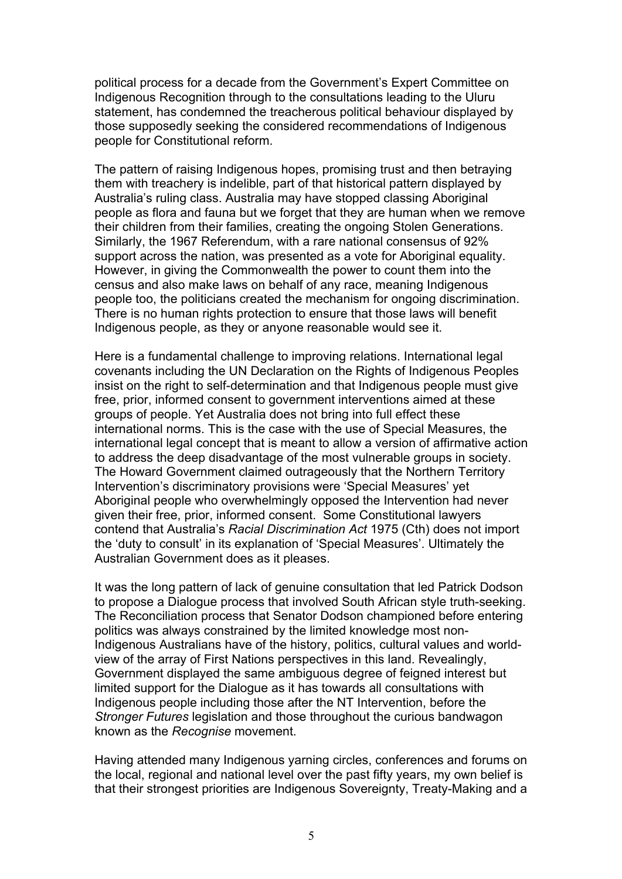political process for a decade from the Government's Expert Committee on Indigenous Recognition through to the consultations leading to the Uluru statement, has condemned the treacherous political behaviour displayed by those supposedly seeking the considered recommendations of Indigenous people for Constitutional reform.

The pattern of raising Indigenous hopes, promising trust and then betraying them with treachery is indelible, part of that historical pattern displayed by Australia's ruling class. Australia may have stopped classing Aboriginal people as flora and fauna but we forget that they are human when we remove their children from their families, creating the ongoing Stolen Generations. Similarly, the 1967 Referendum, with a rare national consensus of 92% support across the nation, was presented as a vote for Aboriginal equality. However, in giving the Commonwealth the power to count them into the census and also make laws on behalf of any race, meaning Indigenous people too, the politicians created the mechanism for ongoing discrimination. There is no human rights protection to ensure that those laws will benefit Indigenous people, as they or anyone reasonable would see it.

Here is a fundamental challenge to improving relations. International legal covenants including the UN Declaration on the Rights of Indigenous Peoples insist on the right to self-determination and that Indigenous people must give free, prior, informed consent to government interventions aimed at these groups of people. Yet Australia does not bring into full effect these international norms. This is the case with the use of Special Measures, the international legal concept that is meant to allow a version of affirmative action to address the deep disadvantage of the most vulnerable groups in society. The Howard Government claimed outrageously that the Northern Territory Intervention's discriminatory provisions were 'Special Measures' yet Aboriginal people who overwhelmingly opposed the Intervention had never given their free, prior, informed consent. Some Constitutional lawyers contend that Australia's *Racial Discrimination Act* 1975 (Cth) does not import the 'duty to consult' in its explanation of 'Special Measures'. Ultimately the Australian Government does as it pleases.

It was the long pattern of lack of genuine consultation that led Patrick Dodson to propose a Dialogue process that involved South African style truth-seeking. The Reconciliation process that Senator Dodson championed before entering politics was always constrained by the limited knowledge most non-Indigenous Australians have of the history, politics, cultural values and worldview of the array of First Nations perspectives in this land. Revealingly, Government displayed the same ambiguous degree of feigned interest but limited support for the Dialogue as it has towards all consultations with Indigenous people including those after the NT Intervention, before the *Stronger Futures* legislation and those throughout the curious bandwagon known as the *Recognise* movement.

Having attended many Indigenous yarning circles, conferences and forums on the local, regional and national level over the past fifty years, my own belief is that their strongest priorities are Indigenous Sovereignty, Treaty-Making and a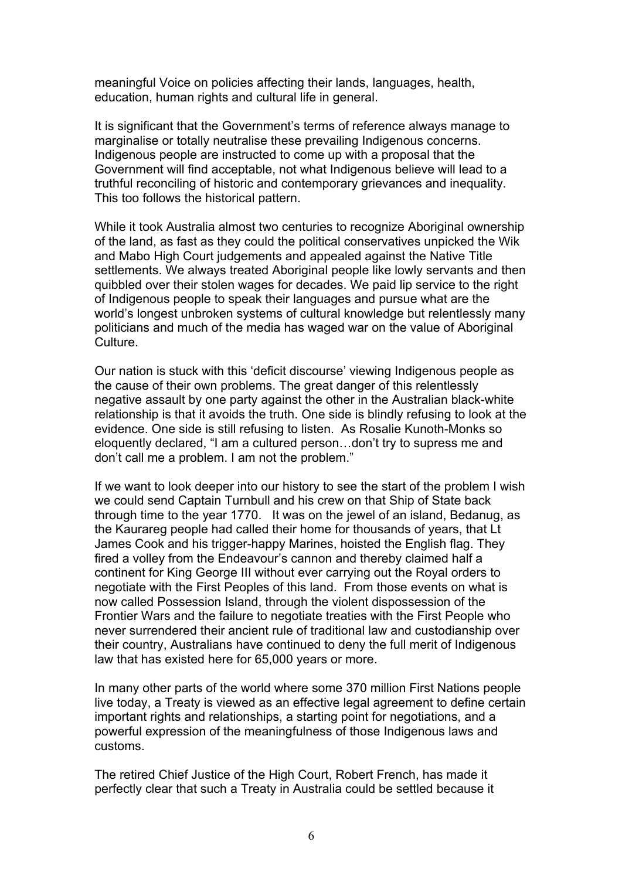meaningful Voice on policies affecting their lands, languages, health, education, human rights and cultural life in general.

It is significant that the Government's terms of reference always manage to marginalise or totally neutralise these prevailing Indigenous concerns. Indigenous people are instructed to come up with a proposal that the Government will find acceptable, not what Indigenous believe will lead to a truthful reconciling of historic and contemporary grievances and inequality. This too follows the historical pattern.

While it took Australia almost two centuries to recognize Aboriginal ownership of the land, as fast as they could the political conservatives unpicked the Wik and Mabo High Court judgements and appealed against the Native Title settlements. We always treated Aboriginal people like lowly servants and then quibbled over their stolen wages for decades. We paid lip service to the right of Indigenous people to speak their languages and pursue what are the world's longest unbroken systems of cultural knowledge but relentlessly many politicians and much of the media has waged war on the value of Aboriginal Culture.

Our nation is stuck with this 'deficit discourse' viewing Indigenous people as the cause of their own problems. The great danger of this relentlessly negative assault by one party against the other in the Australian black-white relationship is that it avoids the truth. One side is blindly refusing to look at the evidence. One side is still refusing to listen. As Rosalie Kunoth-Monks so eloquently declared, "I am a cultured person…don't try to supress me and don't call me a problem. I am not the problem."

If we want to look deeper into our history to see the start of the problem I wish we could send Captain Turnbull and his crew on that Ship of State back through time to the year 1770. It was on the jewel of an island, Bedanug, as the Kaurareg people had called their home for thousands of years, that Lt James Cook and his trigger-happy Marines, hoisted the English flag. They fired a volley from the Endeavour's cannon and thereby claimed half a continent for King George III without ever carrying out the Royal orders to negotiate with the First Peoples of this land. From those events on what is now called Possession Island, through the violent dispossession of the Frontier Wars and the failure to negotiate treaties with the First People who never surrendered their ancient rule of traditional law and custodianship over their country, Australians have continued to deny the full merit of Indigenous law that has existed here for 65,000 years or more.

In many other parts of the world where some 370 million First Nations people live today, a Treaty is viewed as an effective legal agreement to define certain important rights and relationships, a starting point for negotiations, and a powerful expression of the meaningfulness of those Indigenous laws and customs.

The retired Chief Justice of the High Court, Robert French, has made it perfectly clear that such a Treaty in Australia could be settled because it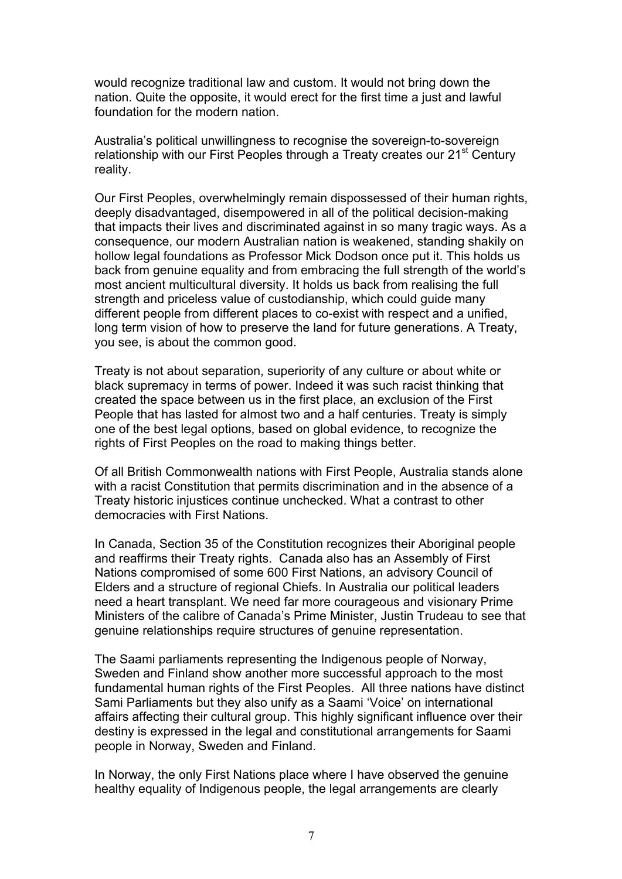would recognize traditional law and custom. It would not bring down the nation. Quite the opposite, it would erect for the first time a just and lawful foundation for the modern nation.

Australia's political unwillingness to recognise the sovereign-to-sovereign relationship with our First Peoples through a Treaty creates our 21<sup>st</sup> Century reality.

Our First Peoples, overwhelmingly remain dispossessed of their human rights, deeply disadvantaged, disempowered in all of the political decision-making that impacts their lives and discriminated against in so many tragic ways. As a consequence, our modern Australian nation is weakened, standing shakily on hollow legal foundations as Professor Mick Dodson once put it. This holds us back from genuine equality and from embracing the full strength of the world's most ancient multicultural diversity. It holds us back from realising the full strength and priceless value of custodianship, which could guide many different people from different places to co-exist with respect and a unified, long term vision of how to preserve the land for future generations. A Treaty, you see, is about the common good.

Treaty is not about separation, superiority of any culture or about white or black supremacy in terms of power. Indeed it was such racist thinking that created the space between us in the first place, an exclusion of the First People that has lasted for almost two and a half centuries. Treaty is simply one of the best legal options, based on global evidence, to recognize the rights of First Peoples on the road to making things better.

Of all British Commonwealth nations with First People, Australia stands alone with a racist Constitution that permits discrimination and in the absence of a Treaty historic injustices continue unchecked. What a contrast to other democracies with First Nations.

In Canada, Section 35 of the Constitution recognizes their Aboriginal people and reaffirms their Treaty rights. Canada also has an Assembly of First Nations compromised of some 600 First Nations, an advisory Council of Elders and a structure of regional Chiefs. In Australia our political leaders need a heart transplant. We need far more courageous and visionary Prime Ministers of the calibre of Canada's Prime Minister, Justin Trudeau to see that genuine relationships require structures of genuine representation.

The Saami parliaments representing the Indigenous people of Norway, Sweden and Finland show another more successful approach to the most fundamental human rights of the First Peoples. All three nations have distinct Sami Parliaments but they also unify as a Saami 'Voice' on international affairs affecting their cultural group. This highly significant influence over their destiny is expressed in the legal and constitutional arrangements for Saami people in Norway, Sweden and Finland.

In Norway, the only First Nations place where I have observed the genuine healthy equality of Indigenous people, the legal arrangements are clearly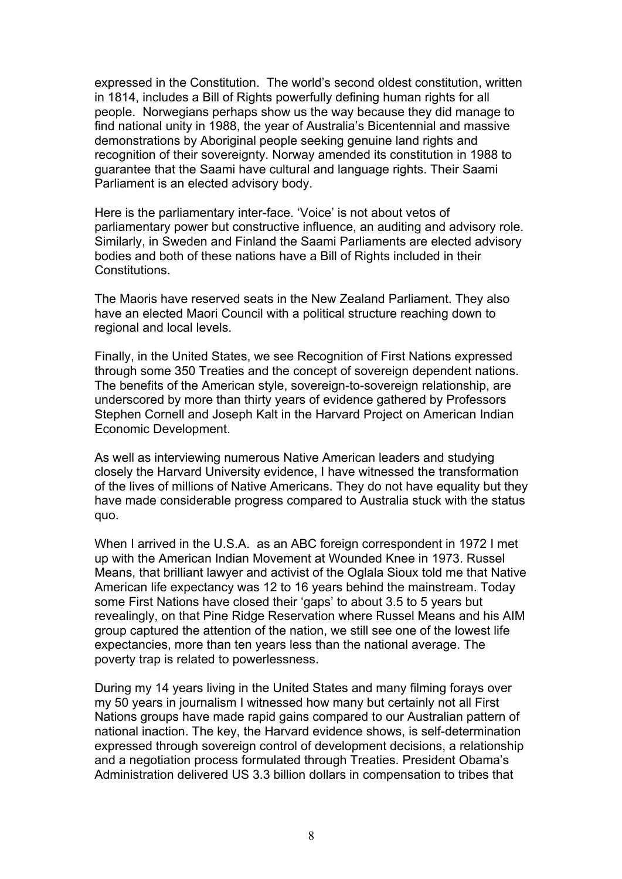expressed in the Constitution. The world's second oldest constitution, written in 1814, includes a Bill of Rights powerfully defining human rights for all people. Norwegians perhaps show us the way because they did manage to find national unity in 1988, the year of Australia's Bicentennial and massive demonstrations by Aboriginal people seeking genuine land rights and recognition of their sovereignty. Norway amended its constitution in 1988 to guarantee that the Saami have cultural and language rights. Their Saami Parliament is an elected advisory body.

Here is the parliamentary inter-face. 'Voice' is not about vetos of parliamentary power but constructive influence, an auditing and advisory role. Similarly, in Sweden and Finland the Saami Parliaments are elected advisory bodies and both of these nations have a Bill of Rights included in their Constitutions.

The Maoris have reserved seats in the New Zealand Parliament. They also have an elected Maori Council with a political structure reaching down to regional and local levels.

Finally, in the United States, we see Recognition of First Nations expressed through some 350 Treaties and the concept of sovereign dependent nations. The benefits of the American style, sovereign-to-sovereign relationship, are underscored by more than thirty years of evidence gathered by Professors Stephen Cornell and Joseph Kalt in the Harvard Project on American Indian Economic Development.

As well as interviewing numerous Native American leaders and studying closely the Harvard University evidence, I have witnessed the transformation of the lives of millions of Native Americans. They do not have equality but they have made considerable progress compared to Australia stuck with the status quo.

When I arrived in the U.S.A. as an ABC foreign correspondent in 1972 I met up with the American Indian Movement at Wounded Knee in 1973. Russel Means, that brilliant lawyer and activist of the Oglala Sioux told me that Native American life expectancy was 12 to 16 years behind the mainstream. Today some First Nations have closed their 'gaps' to about 3.5 to 5 years but revealingly, on that Pine Ridge Reservation where Russel Means and his AIM group captured the attention of the nation, we still see one of the lowest life expectancies, more than ten years less than the national average. The poverty trap is related to powerlessness.

During my 14 years living in the United States and many filming forays over my 50 years in journalism I witnessed how many but certainly not all First Nations groups have made rapid gains compared to our Australian pattern of national inaction. The key, the Harvard evidence shows, is self-determination expressed through sovereign control of development decisions, a relationship and a negotiation process formulated through Treaties. President Obama's Administration delivered US 3.3 billion dollars in compensation to tribes that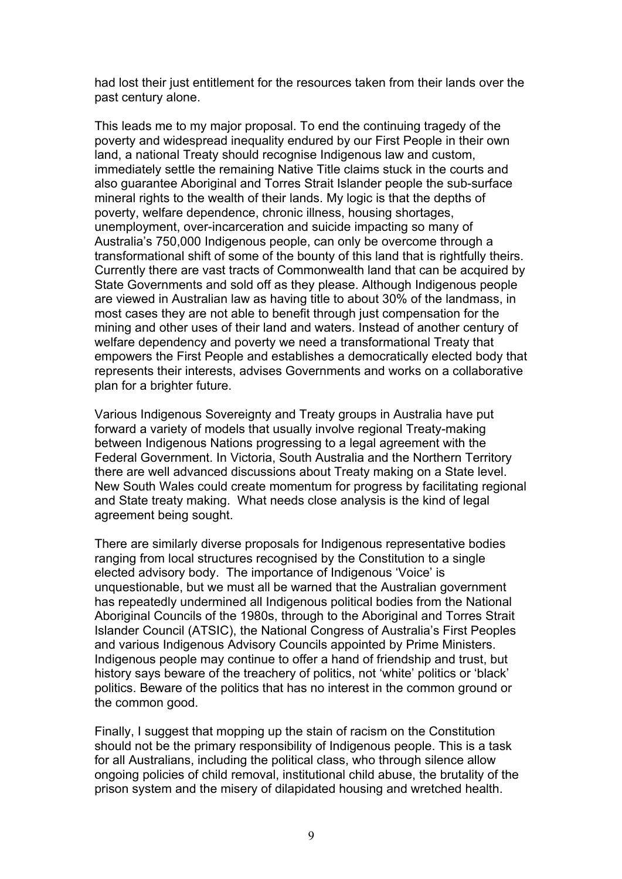had lost their just entitlement for the resources taken from their lands over the past century alone.

This leads me to my major proposal. To end the continuing tragedy of the poverty and widespread inequality endured by our First People in their own land, a national Treaty should recognise Indigenous law and custom, immediately settle the remaining Native Title claims stuck in the courts and also guarantee Aboriginal and Torres Strait Islander people the sub-surface mineral rights to the wealth of their lands. My logic is that the depths of poverty, welfare dependence, chronic illness, housing shortages, unemployment, over-incarceration and suicide impacting so many of Australia's 750,000 Indigenous people, can only be overcome through a transformational shift of some of the bounty of this land that is rightfully theirs. Currently there are vast tracts of Commonwealth land that can be acquired by State Governments and sold off as they please. Although Indigenous people are viewed in Australian law as having title to about 30% of the landmass, in most cases they are not able to benefit through just compensation for the mining and other uses of their land and waters. Instead of another century of welfare dependency and poverty we need a transformational Treaty that empowers the First People and establishes a democratically elected body that represents their interests, advises Governments and works on a collaborative plan for a brighter future.

Various Indigenous Sovereignty and Treaty groups in Australia have put forward a variety of models that usually involve regional Treaty-making between Indigenous Nations progressing to a legal agreement with the Federal Government. In Victoria, South Australia and the Northern Territory there are well advanced discussions about Treaty making on a State level. New South Wales could create momentum for progress by facilitating regional and State treaty making. What needs close analysis is the kind of legal agreement being sought.

There are similarly diverse proposals for Indigenous representative bodies ranging from local structures recognised by the Constitution to a single elected advisory body. The importance of Indigenous 'Voice' is unquestionable, but we must all be warned that the Australian government has repeatedly undermined all Indigenous political bodies from the National Aboriginal Councils of the 1980s, through to the Aboriginal and Torres Strait Islander Council (ATSIC), the National Congress of Australia's First Peoples and various Indigenous Advisory Councils appointed by Prime Ministers. Indigenous people may continue to offer a hand of friendship and trust, but history says beware of the treachery of politics, not 'white' politics or 'black' politics. Beware of the politics that has no interest in the common ground or the common good.

Finally, I suggest that mopping up the stain of racism on the Constitution should not be the primary responsibility of Indigenous people. This is a task for all Australians, including the political class, who through silence allow ongoing policies of child removal, institutional child abuse, the brutality of the prison system and the misery of dilapidated housing and wretched health.